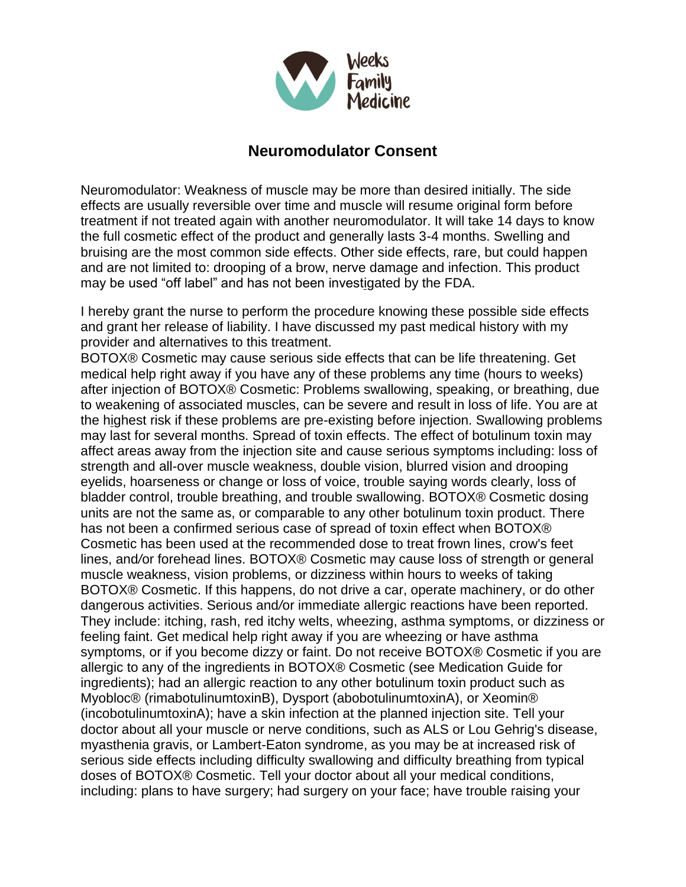

## **Neuromodulator Consent**

Neuromodulator: Weakness of muscle may be more than desired initially. The side effects are usually reversible over time and muscle will resume original form before treatment if not treated again with another neuromodulator. It will take 14 days to know the full cosmetic effect of the product and generally lasts 3-4 months. Swelling and bruising are the most common side effects. Other side effects, rare, but could happen and are not limited to: drooping of a brow, nerve damage and infection. This product may be used "off label" and has not been investigated by the FDA.

I hereby grant the nurse to perform the procedure knowing these possible side effects and grant her release of liability. I have discussed my past medical history with my provider and alternatives to this treatment.

BOTOX® Cosmetic may cause serious side effects that can be life threatening. Get medical help right away if you have any of these problems any time (hours to weeks) after injection of BOTOX® Cosmetic: Problems swallowing, speaking, or breathing, due to weakening of associated muscles, can be severe and result in loss of life. You are at the highest risk if these problems are pre-existing before injection. Swallowing problems may last for several months. Spread of toxin effects. The effect of botulinum toxin may affect areas away from the injection site and cause serious symptoms including: loss of strength and all-over muscle weakness, double vision, blurred vision and drooping eyelids, hoarseness or change or loss of voice, trouble saying words clearly, loss of bladder control, trouble breathing, and trouble swallowing. BOTOX® Cosmetic dosing units are not the same as, or comparable to any other botulinum toxin product. There has not been a confirmed serious case of spread of toxin effect when BOTOX® Cosmetic has been used at the recommended dose to treat frown lines, crow's feet lines, and*/*or forehead lines. BOTOX® Cosmetic may cause loss of strength or general muscle weakness, vision problems, or dizziness within hours to weeks of taking BOTOX® Cosmetic. If this happens, do not drive a car, operate machinery, or do other dangerous activities. Serious and*/*or immediate allergic reactions have been reported. They include: itching, rash, red itchy welts, wheezing, asthma symptoms, or dizziness or feeling faint. Get medical help right away if you are wheezing or have asthma symptoms, or if you become dizzy or faint. Do not receive BOTOX® Cosmetic if you are allergic to any of the ingredients in BOTOX® Cosmetic (see Medication Guide for ingredients); had an allergic reaction to any other botulinum toxin product such as Myobloc® (rimabotulinumtoxinB), Dysport (abobotulinumtoxinA), or Xeomin® (incobotulinumtoxinA); have a skin infection at the planned injection site. Tell your doctor about all your muscle or nerve conditions, such as ALS or Lou Gehrig's disease, myasthenia gravis, or Lambert-Eaton syndrome, as you may be at increased risk of serious side effects including difficulty swallowing and difficulty breathing from typical doses of BOTOX® Cosmetic. Tell your doctor about all your medical conditions, including: plans to have surgery; had surgery on your face; have trouble raising your